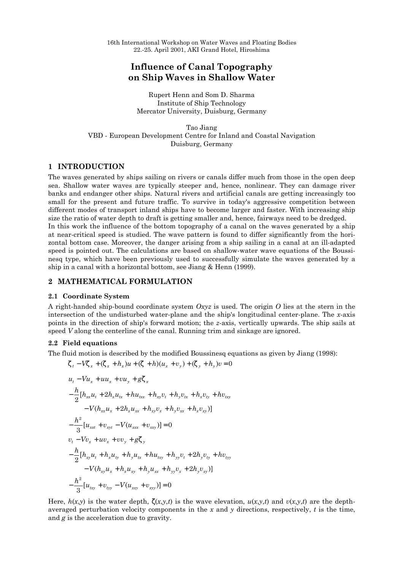# **Influence of Canal Topography on Ship Waves in Shallow Water**

Rupert Henn and Som D. Sharma Institute of Ship Technology Mercator University, Duisburg, Germany

Tao Jiang VBD - European Development Centre for Inland and Coastal Navigation Duisburg, Germany

# **1 INTRODUCTION**

The waves generated by ships sailing on rivers or canals differ much from those in the open deep sea. Shallow water waves are typically steeper and, hence, nonlinear. They can damage river banks and endanger other ships. Natural rivers and artificial canals are getting increasingly too small for the present and future traffic. To survive in today's aggressive competition between different modes of transport inland ships have to become larger and faster. With increasing ship size the ratio of water depth to draft is getting smaller and, hence, fairways need to be dredged. In this work the influence of the bottom topography of a canal on the waves generated by a ship at near-critical speed is studied. The wave pattern is found to differ significantly from the horizontal bottom case. Moreover, the danger arising from a ship sailing in a canal at an ill-adapted speed is pointed out. The calculations are based on shallow-water wave equations of the Boussinesq type, which have been previously used to successfully simulate the waves generated by a ship in a canal with a horizontal bottom, see Jiang & Henn (1999).

# **2 MATHEMATICAL FORMULATION**

# **2.1 Coordinate System**

A right-handed ship-bound coordinate system *Oxyz* is used. The origin *O* lies at the stern in the intersection of the undisturbed water-plane and the ship's longitudinal center-plane. The *x*-axis points in the direction of ship's forward motion; the *z*-axis, vertically upwards. The ship sails at speed *V* along the centerline of the canal. Running trim and sinkage are ignored.

# **2.2 Field equations**

The fluid motion is described by the modified Boussinesq equations as given by Jiang (1998):

$$
\mathbf{z}_{t} - V\mathbf{z}_{x} + (\mathbf{z}_{x} + h_{x})u + (\mathbf{z} + h)(u_{x} + v_{y}) + (\mathbf{z}_{y} + h_{y})v = 0
$$

$$
u_{t} - Vu_{x} + uu_{x} + vu_{y} + gz_{x}
$$
  
\n
$$
- \frac{h}{2} [h_{xx}u_{t} + 2h_{x}u_{tx} + hu_{txx} + h_{xy}v_{t} + h_{y}v_{tx} + h_{x}v_{ty} + hv_{txy} - V(h_{xx}u_{x} + 2h_{x}u_{xx} + h_{xy}v_{x} + h_{y}v_{xx} + h_{x}v_{xy})]
$$
  
\n
$$
- \frac{h^{2}}{3} [u_{xxt} + v_{xyt} - V(u_{xxx} + v_{xxy})] = 0
$$
  
\n
$$
v_{t} - Vv_{x} + uv_{x} + vv_{y} + gz_{y}
$$
  
\n
$$
- \frac{h}{2} [h_{xy}u_{t} + h_{x}u_{ty} + h_{y}u_{tx} + hu_{txy} + h_{yy}v_{t} + 2h_{y}v_{ty} + hv_{tyy} - V(h_{xy}u_{x} + h_{x}u_{xy} + h_{y}u_{xx} + h_{yy}v_{x} + 2h_{y}v_{xy})]
$$
  
\n
$$
- \frac{h^{2}}{3} [u_{txy} + v_{tyy} - V(u_{xxy} + v_{xyy})] = 0
$$

Here,  $h(x, y)$  is the water depth,  $\zeta(x, y, t)$  is the wave elevation,  $u(x, y, t)$  and  $v(x, y, t)$  are the depthaveraged perturbation velocity components in the  $x$  and  $y$  directions, respectively,  $t$  is the time, and *g* is the acceleration due to gravity.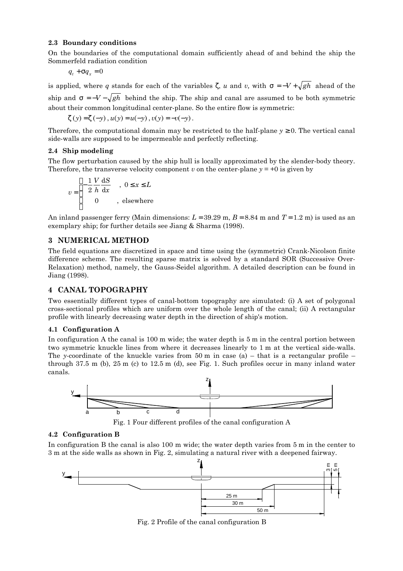#### **2.3 Boundary conditions**

On the boundaries of the computational domain sufficiently ahead of and behind the ship the Sommerfeld radiation condition

$$
q_t + \mathbf{S}q_x = 0
$$

is applied, where *q* stands for each of the variables  $\zeta$ , *u* and *v*, with  $\mathbf{s} = -V + \sqrt{gh}$  ahead of the ship and  $\mathbf{s} = -V - \sqrt{gh}$  behind the ship. The ship and canal are assumed to be both symmetric about their common longitudinal center-plane. So the entire flow is symmetric:

$$
z(y) = z(-y), u(y) = u(-y), v(y) = -v(-y).
$$

Therefore, the computational domain may be restricted to the half-plane  $y \ge 0$ . The vertical canal side-walls are supposed to be impermeable and perfectly reflecting.

#### **2.4 Ship modeling**

The flow perturbation caused by the ship hull is locally approximated by the slender-body theory. Therefore, the transverse velocity component *v* on the center-plane  $y = +0$  is given by

$$
v = \begin{cases} -\frac{1}{2} \frac{V}{h} \frac{dS}{dx} , & 0 \le x \le L \\ 0 , & \text{elsewhere} \end{cases}
$$

An inland passenger ferry (Main dimensions:  $L = 39.29$  m,  $B = 8.84$  m and  $T = 1.2$  m) is used as an exemplary ship; for further details see Jiang & Sharma (1998).

# **3 NUMERICAL METHOD**

The field equations are discretized in space and time using the (symmetric) Crank-Nicolson finite difference scheme. The resulting sparse matrix is solved by a standard SOR (Successive Over-Relaxation) method, namely, the Gauss-Seidel algorithm. A detailed description can be found in Jiang (1998).

# **4 CANAL TOPOGRAPHY**

Two essentially different types of canal-bottom topography are simulated: (i) A set of polygonal cross-sectional profiles which are uniform over the whole length of the canal; (ii) A rectangular profile with linearly decreasing water depth in the direction of ship's motion.

#### **4.1 Configuration A**

In configuration A the canal is 100 m wide; the water depth is 5 m in the central portion between two symmetric knuckle lines from where it decreases linearly to 1 m at the vertical side-walls. The *y*-coordinate of the knuckle varies from 50 m in case (a) – that is a rectangular profile – through  $37.5$  m (b),  $25$  m (c) to  $12.5$  m (d), see Fig. 1. Such profiles occur in many inland water canals.



Fig. 1 Four different profiles of the canal configuration A

# **4.2 Configuration B**

In configuration B the canal is also 100 m wide; the water depth varies from 5 m in the center to 3 m at the side walls as shown in Fig. 2, simulating a natural river with a deepened fairway.



Fig. 2 Profile of the canal configuration B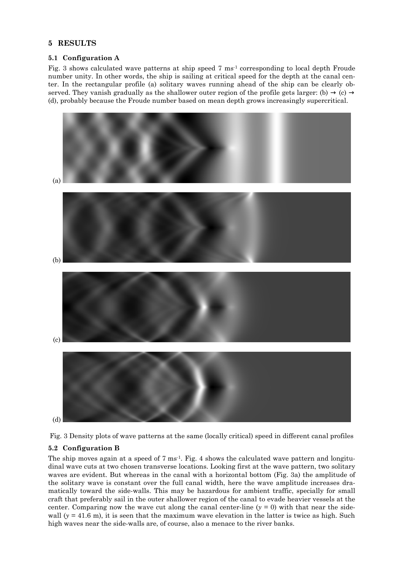# **5 RESULTS**

# **5.1 Configuration A**

Fig. 3 shows calculated wave patterns at ship speed 7 ms<sup>-1</sup> corresponding to local depth Froude number unity. In other words, the ship is sailing at critical speed for the depth at the canal center. In the rectangular profile (a) solitary waves running ahead of the ship can be clearly observed. They vanish gradually as the shallower outer region of the profile gets larger: (b)  $\rightarrow$  (c)  $\rightarrow$ (d), probably because the Froude number based on mean depth grows increasingly supercritical.





#### **5.2 Configuration B**

The ship moves again at a speed of  $7 \text{ ms}^{-1}$ . Fig. 4 shows the calculated wave pattern and longitudinal wave cuts at two chosen transverse locations. Looking first at the wave pattern, two solitary waves are evident. But whereas in the canal with a horizontal bottom (Fig. 3a) the amplitude of the solitary wave is constant over the full canal width, here the wave amplitude increases dramatically toward the side-walls. This may be hazardous for ambient traffic, specially for small craft that preferably sail in the outer shallower region of the canal to evade heavier vessels at the center. Comparing now the wave cut along the canal center-line  $(y = 0)$  with that near the sidewall  $(y = 41.6 \text{ m})$ , it is seen that the maximum wave elevation in the latter is twice as high. Such high waves near the side-walls are, of course, also a menace to the river banks.